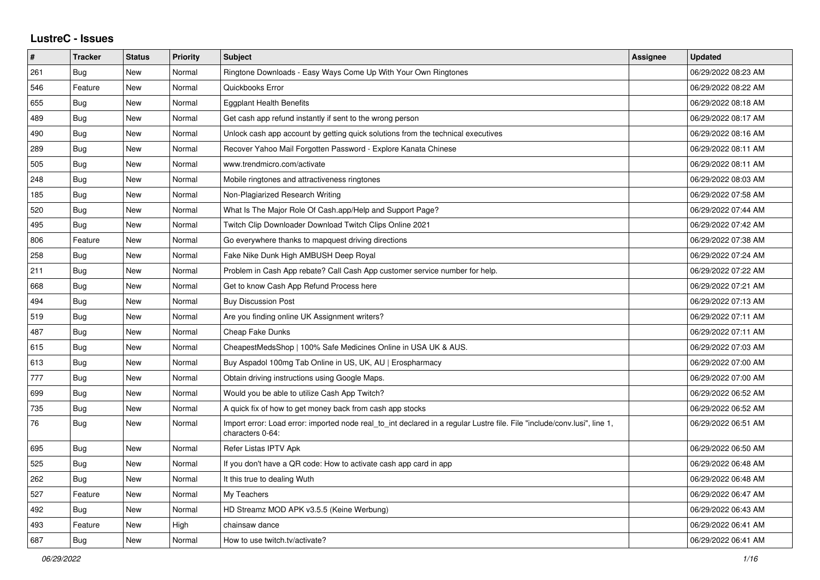## **LustreC - Issues**

| #   | <b>Tracker</b> | <b>Status</b> | <b>Priority</b> | <b>Subject</b>                                                                                                                               | Assignee | <b>Updated</b>      |
|-----|----------------|---------------|-----------------|----------------------------------------------------------------------------------------------------------------------------------------------|----------|---------------------|
| 261 | Bug            | <b>New</b>    | Normal          | Ringtone Downloads - Easy Ways Come Up With Your Own Ringtones                                                                               |          | 06/29/2022 08:23 AM |
| 546 | Feature        | <b>New</b>    | Normal          | Quickbooks Error                                                                                                                             |          | 06/29/2022 08:22 AM |
| 655 | Bug            | <b>New</b>    | Normal          | <b>Eggplant Health Benefits</b>                                                                                                              |          | 06/29/2022 08:18 AM |
| 489 | <b>Bug</b>     | <b>New</b>    | Normal          | Get cash app refund instantly if sent to the wrong person                                                                                    |          | 06/29/2022 08:17 AM |
| 490 | <b>Bug</b>     | <b>New</b>    | Normal          | Unlock cash app account by getting quick solutions from the technical executives                                                             |          | 06/29/2022 08:16 AM |
| 289 | Bug            | <b>New</b>    | Normal          | Recover Yahoo Mail Forgotten Password - Explore Kanata Chinese                                                                               |          | 06/29/2022 08:11 AM |
| 505 | Bug            | <b>New</b>    | Normal          | www.trendmicro.com/activate                                                                                                                  |          | 06/29/2022 08:11 AM |
| 248 | <b>Bug</b>     | New           | Normal          | Mobile ringtones and attractiveness ringtones                                                                                                |          | 06/29/2022 08:03 AM |
| 185 | Bug            | New           | Normal          | Non-Plagiarized Research Writing                                                                                                             |          | 06/29/2022 07:58 AM |
| 520 | <b>Bug</b>     | New           | Normal          | What Is The Major Role Of Cash.app/Help and Support Page?                                                                                    |          | 06/29/2022 07:44 AM |
| 495 | Bug            | <b>New</b>    | Normal          | Twitch Clip Downloader Download Twitch Clips Online 2021                                                                                     |          | 06/29/2022 07:42 AM |
| 806 | Feature        | <b>New</b>    | Normal          | Go everywhere thanks to mapquest driving directions                                                                                          |          | 06/29/2022 07:38 AM |
| 258 | <b>Bug</b>     | New           | Normal          | Fake Nike Dunk High AMBUSH Deep Royal                                                                                                        |          | 06/29/2022 07:24 AM |
| 211 | <b>Bug</b>     | <b>New</b>    | Normal          | Problem in Cash App rebate? Call Cash App customer service number for help.                                                                  |          | 06/29/2022 07:22 AM |
| 668 | Bug            | New           | Normal          | Get to know Cash App Refund Process here                                                                                                     |          | 06/29/2022 07:21 AM |
| 494 | <b>Bug</b>     | <b>New</b>    | Normal          | <b>Buy Discussion Post</b>                                                                                                                   |          | 06/29/2022 07:13 AM |
| 519 | <b>Bug</b>     | New           | Normal          | Are you finding online UK Assignment writers?                                                                                                |          | 06/29/2022 07:11 AM |
| 487 | Bug            | <b>New</b>    | Normal          | <b>Cheap Fake Dunks</b>                                                                                                                      |          | 06/29/2022 07:11 AM |
| 615 | <b>Bug</b>     | <b>New</b>    | Normal          | CheapestMedsShop   100% Safe Medicines Online in USA UK & AUS.                                                                               |          | 06/29/2022 07:03 AM |
| 613 | Bug            | New           | Normal          | Buy Aspadol 100mg Tab Online in US, UK, AU   Erospharmacy                                                                                    |          | 06/29/2022 07:00 AM |
| 777 | <b>Bug</b>     | <b>New</b>    | Normal          | Obtain driving instructions using Google Maps.                                                                                               |          | 06/29/2022 07:00 AM |
| 699 | <b>Bug</b>     | <b>New</b>    | Normal          | Would you be able to utilize Cash App Twitch?                                                                                                |          | 06/29/2022 06:52 AM |
| 735 | Bug            | New           | Normal          | A quick fix of how to get money back from cash app stocks                                                                                    |          | 06/29/2022 06:52 AM |
| 76  | <b>Bug</b>     | New           | Normal          | Import error: Load error: imported node real_to_int declared in a regular Lustre file. File "include/conv.lusi", line 1,<br>characters 0-64: |          | 06/29/2022 06:51 AM |
| 695 | <b>Bug</b>     | New           | Normal          | Refer Listas IPTV Apk                                                                                                                        |          | 06/29/2022 06:50 AM |
| 525 | <b>Bug</b>     | New           | Normal          | If you don't have a QR code: How to activate cash app card in app                                                                            |          | 06/29/2022 06:48 AM |
| 262 | Bug            | <b>New</b>    | Normal          | It this true to dealing Wuth                                                                                                                 |          | 06/29/2022 06:48 AM |
| 527 | Feature        | <b>New</b>    | Normal          | My Teachers                                                                                                                                  |          | 06/29/2022 06:47 AM |
| 492 | Bug            | New           | Normal          | HD Streamz MOD APK v3.5.5 (Keine Werbung)                                                                                                    |          | 06/29/2022 06:43 AM |
| 493 | Feature        | New           | High            | chainsaw dance                                                                                                                               |          | 06/29/2022 06:41 AM |
| 687 | <b>Bug</b>     | <b>New</b>    | Normal          | How to use twitch.tv/activate?                                                                                                               |          | 06/29/2022 06:41 AM |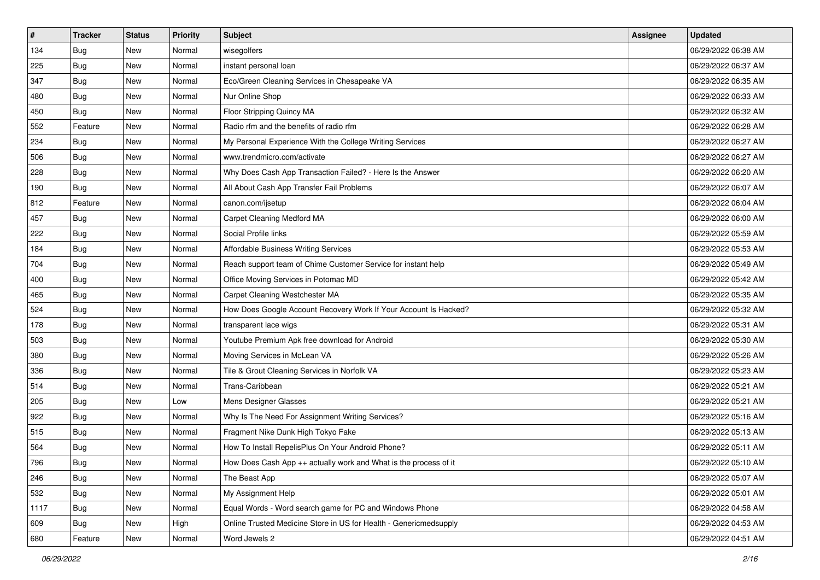| $\sharp$ | <b>Tracker</b> | <b>Status</b> | <b>Priority</b> | Subject                                                           | <b>Assignee</b> | <b>Updated</b>      |
|----------|----------------|---------------|-----------------|-------------------------------------------------------------------|-----------------|---------------------|
| 134      | <b>Bug</b>     | New           | Normal          | wisegolfers                                                       |                 | 06/29/2022 06:38 AM |
| 225      | <b>Bug</b>     | New           | Normal          | instant personal loan                                             |                 | 06/29/2022 06:37 AM |
| 347      | Bug            | New           | Normal          | Eco/Green Cleaning Services in Chesapeake VA                      |                 | 06/29/2022 06:35 AM |
| 480      | <b>Bug</b>     | New           | Normal          | Nur Online Shop                                                   |                 | 06/29/2022 06:33 AM |
| 450      | <b>Bug</b>     | New           | Normal          | Floor Stripping Quincy MA                                         |                 | 06/29/2022 06:32 AM |
| 552      | Feature        | New           | Normal          | Radio rfm and the benefits of radio rfm                           |                 | 06/29/2022 06:28 AM |
| 234      | Bug            | New           | Normal          | My Personal Experience With the College Writing Services          |                 | 06/29/2022 06:27 AM |
| 506      | <b>Bug</b>     | New           | Normal          | www.trendmicro.com/activate                                       |                 | 06/29/2022 06:27 AM |
| 228      | <b>Bug</b>     | New           | Normal          | Why Does Cash App Transaction Failed? - Here Is the Answer        |                 | 06/29/2022 06:20 AM |
| 190      | <b>Bug</b>     | New           | Normal          | All About Cash App Transfer Fail Problems                         |                 | 06/29/2022 06:07 AM |
| 812      | Feature        | New           | Normal          | canon.com/ijsetup                                                 |                 | 06/29/2022 06:04 AM |
| 457      | Bug            | New           | Normal          | Carpet Cleaning Medford MA                                        |                 | 06/29/2022 06:00 AM |
| 222      | Bug            | New           | Normal          | Social Profile links                                              |                 | 06/29/2022 05:59 AM |
| 184      | <b>Bug</b>     | New           | Normal          | Affordable Business Writing Services                              |                 | 06/29/2022 05:53 AM |
| 704      | <b>Bug</b>     | New           | Normal          | Reach support team of Chime Customer Service for instant help     |                 | 06/29/2022 05:49 AM |
| 400      | <b>Bug</b>     | New           | Normal          | Office Moving Services in Potomac MD                              |                 | 06/29/2022 05:42 AM |
| 465      | <b>Bug</b>     | New           | Normal          | Carpet Cleaning Westchester MA                                    |                 | 06/29/2022 05:35 AM |
| 524      | Bug            | New           | Normal          | How Does Google Account Recovery Work If Your Account Is Hacked?  |                 | 06/29/2022 05:32 AM |
| 178      | <b>Bug</b>     | New           | Normal          | transparent lace wigs                                             |                 | 06/29/2022 05:31 AM |
| 503      | <b>Bug</b>     | New           | Normal          | Youtube Premium Apk free download for Android                     |                 | 06/29/2022 05:30 AM |
| 380      | <b>Bug</b>     | New           | Normal          | Moving Services in McLean VA                                      |                 | 06/29/2022 05:26 AM |
| 336      | <b>Bug</b>     | New           | Normal          | Tile & Grout Cleaning Services in Norfolk VA                      |                 | 06/29/2022 05:23 AM |
| 514      | Bug            | New           | Normal          | Trans-Caribbean                                                   |                 | 06/29/2022 05:21 AM |
| 205      | <b>Bug</b>     | New           | Low             | Mens Designer Glasses                                             |                 | 06/29/2022 05:21 AM |
| 922      | Bug            | New           | Normal          | Why Is The Need For Assignment Writing Services?                  |                 | 06/29/2022 05:16 AM |
| 515      | <b>Bug</b>     | New           | Normal          | Fragment Nike Dunk High Tokyo Fake                                |                 | 06/29/2022 05:13 AM |
| 564      | <b>Bug</b>     | New           | Normal          | How To Install RepelisPlus On Your Android Phone?                 |                 | 06/29/2022 05:11 AM |
| 796      | <b>Bug</b>     | New           | Normal          | How Does Cash App ++ actually work and What is the process of it  |                 | 06/29/2022 05:10 AM |
| 246      | <b>Bug</b>     | New           | Normal          | The Beast App                                                     |                 | 06/29/2022 05:07 AM |
| 532      | <b>Bug</b>     | New           | Normal          | My Assignment Help                                                |                 | 06/29/2022 05:01 AM |
| 1117     | Bug            | New           | Normal          | Equal Words - Word search game for PC and Windows Phone           |                 | 06/29/2022 04:58 AM |
| 609      | <b>Bug</b>     | New           | High            | Online Trusted Medicine Store in US for Health - Genericmedsupply |                 | 06/29/2022 04:53 AM |
| 680      | Feature        | New           | Normal          | Word Jewels 2                                                     |                 | 06/29/2022 04:51 AM |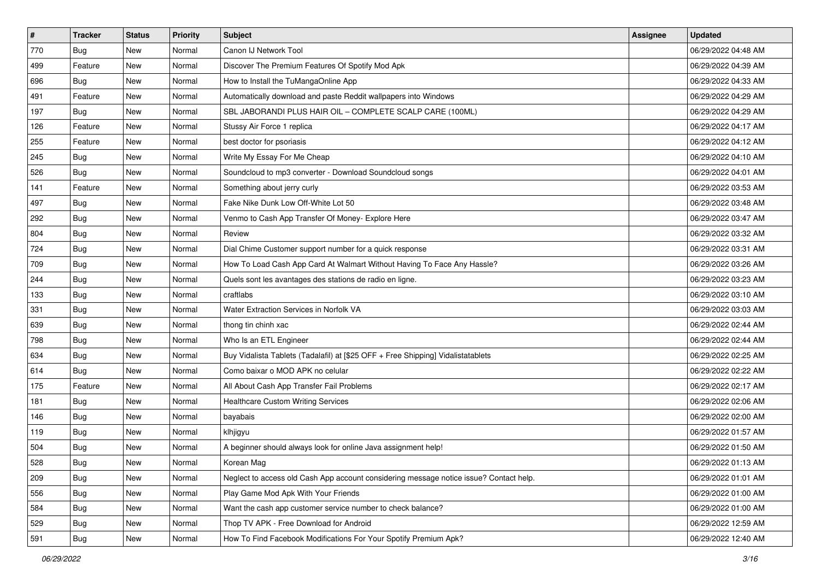| $\vert$ # | <b>Tracker</b> | <b>Status</b> | <b>Priority</b> | Subject                                                                                | <b>Assignee</b> | <b>Updated</b>      |
|-----------|----------------|---------------|-----------------|----------------------------------------------------------------------------------------|-----------------|---------------------|
| 770       | <b>Bug</b>     | New           | Normal          | Canon IJ Network Tool                                                                  |                 | 06/29/2022 04:48 AM |
| 499       | Feature        | New           | Normal          | Discover The Premium Features Of Spotify Mod Apk                                       |                 | 06/29/2022 04:39 AM |
| 696       | Bug            | New           | Normal          | How to Install the TuMangaOnline App                                                   |                 | 06/29/2022 04:33 AM |
| 491       | Feature        | New           | Normal          | Automatically download and paste Reddit wallpapers into Windows                        |                 | 06/29/2022 04:29 AM |
| 197       | <b>Bug</b>     | New           | Normal          | SBL JABORANDI PLUS HAIR OIL - COMPLETE SCALP CARE (100ML)                              |                 | 06/29/2022 04:29 AM |
| 126       | Feature        | New           | Normal          | Stussy Air Force 1 replica                                                             |                 | 06/29/2022 04:17 AM |
| 255       | Feature        | New           | Normal          | best doctor for psoriasis                                                              |                 | 06/29/2022 04:12 AM |
| 245       | <b>Bug</b>     | New           | Normal          | Write My Essay For Me Cheap                                                            |                 | 06/29/2022 04:10 AM |
| 526       | <b>Bug</b>     | New           | Normal          | Soundcloud to mp3 converter - Download Soundcloud songs                                |                 | 06/29/2022 04:01 AM |
| 141       | Feature        | New           | Normal          | Something about jerry curly                                                            |                 | 06/29/2022 03:53 AM |
| 497       | <b>Bug</b>     | New           | Normal          | Fake Nike Dunk Low Off-White Lot 50                                                    |                 | 06/29/2022 03:48 AM |
| 292       | Bug            | New           | Normal          | Venmo to Cash App Transfer Of Money- Explore Here                                      |                 | 06/29/2022 03:47 AM |
| 804       | Bug            | New           | Normal          | Review                                                                                 |                 | 06/29/2022 03:32 AM |
| 724       | <b>Bug</b>     | New           | Normal          | Dial Chime Customer support number for a quick response                                |                 | 06/29/2022 03:31 AM |
| 709       | <b>Bug</b>     | New           | Normal          | How To Load Cash App Card At Walmart Without Having To Face Any Hassle?                |                 | 06/29/2022 03:26 AM |
| 244       | Bug            | New           | Normal          | Quels sont les avantages des stations de radio en ligne.                               |                 | 06/29/2022 03:23 AM |
| 133       | <b>Bug</b>     | New           | Normal          | craftlabs                                                                              |                 | 06/29/2022 03:10 AM |
| 331       | <b>Bug</b>     | New           | Normal          | Water Extraction Services in Norfolk VA                                                |                 | 06/29/2022 03:03 AM |
| 639       | <b>Bug</b>     | New           | Normal          | thong tin chinh xac                                                                    |                 | 06/29/2022 02:44 AM |
| 798       | <b>Bug</b>     | New           | Normal          | Who Is an ETL Engineer                                                                 |                 | 06/29/2022 02:44 AM |
| 634       | <b>Bug</b>     | New           | Normal          | Buy Vidalista Tablets (Tadalafil) at [\$25 OFF + Free Shipping] Vidalistatablets       |                 | 06/29/2022 02:25 AM |
| 614       | <b>Bug</b>     | New           | Normal          | Como baixar o MOD APK no celular                                                       |                 | 06/29/2022 02:22 AM |
| 175       | Feature        | New           | Normal          | All About Cash App Transfer Fail Problems                                              |                 | 06/29/2022 02:17 AM |
| 181       | <b>Bug</b>     | New           | Normal          | <b>Healthcare Custom Writing Services</b>                                              |                 | 06/29/2022 02:06 AM |
| 146       | Bug            | New           | Normal          | bayabais                                                                               |                 | 06/29/2022 02:00 AM |
| 119       | Bug            | New           | Normal          | klhjigyu                                                                               |                 | 06/29/2022 01:57 AM |
| 504       | <b>Bug</b>     | New           | Normal          | A beginner should always look for online Java assignment help!                         |                 | 06/29/2022 01:50 AM |
| 528       | <b>Bug</b>     | New           | Normal          | Korean Mag                                                                             |                 | 06/29/2022 01:13 AM |
| 209       | Bug            | New           | Normal          | Neglect to access old Cash App account considering message notice issue? Contact help. |                 | 06/29/2022 01:01 AM |
| 556       | Bug            | New           | Normal          | Play Game Mod Apk With Your Friends                                                    |                 | 06/29/2022 01:00 AM |
| 584       | Bug            | New           | Normal          | Want the cash app customer service number to check balance?                            |                 | 06/29/2022 01:00 AM |
| 529       | <b>Bug</b>     | New           | Normal          | Thop TV APK - Free Download for Android                                                |                 | 06/29/2022 12:59 AM |
| 591       | <b>Bug</b>     | New           | Normal          | How To Find Facebook Modifications For Your Spotify Premium Apk?                       |                 | 06/29/2022 12:40 AM |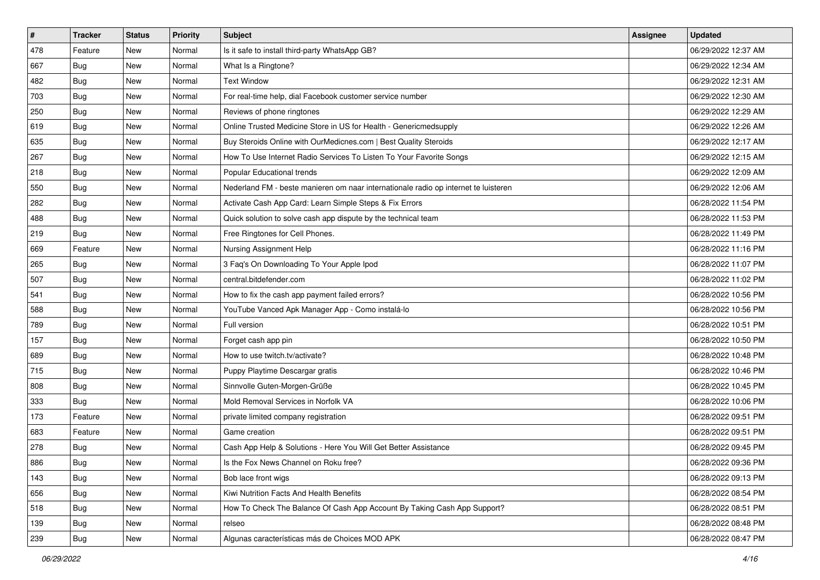| $\sharp$ | <b>Tracker</b> | <b>Status</b> | <b>Priority</b> | Subject                                                                             | <b>Assignee</b> | <b>Updated</b>      |
|----------|----------------|---------------|-----------------|-------------------------------------------------------------------------------------|-----------------|---------------------|
| 478      | Feature        | New           | Normal          | Is it safe to install third-party WhatsApp GB?                                      |                 | 06/29/2022 12:37 AM |
| 667      | <b>Bug</b>     | New           | Normal          | What Is a Ringtone?                                                                 |                 | 06/29/2022 12:34 AM |
| 482      | Bug            | New           | Normal          | <b>Text Window</b>                                                                  |                 | 06/29/2022 12:31 AM |
| 703      | <b>Bug</b>     | New           | Normal          | For real-time help, dial Facebook customer service number                           |                 | 06/29/2022 12:30 AM |
| 250      | Bug            | New           | Normal          | Reviews of phone ringtones                                                          |                 | 06/29/2022 12:29 AM |
| 619      | <b>Bug</b>     | New           | Normal          | Online Trusted Medicine Store in US for Health - Genericmedsupply                   |                 | 06/29/2022 12:26 AM |
| 635      | <b>Bug</b>     | New           | Normal          | Buy Steroids Online with OurMedicnes.com   Best Quality Steroids                    |                 | 06/29/2022 12:17 AM |
| 267      | <b>Bug</b>     | New           | Normal          | How To Use Internet Radio Services To Listen To Your Favorite Songs                 |                 | 06/29/2022 12:15 AM |
| 218      | Bug            | New           | Normal          | Popular Educational trends                                                          |                 | 06/29/2022 12:09 AM |
| 550      | Bug            | New           | Normal          | Nederland FM - beste manieren om naar internationale radio op internet te luisteren |                 | 06/29/2022 12:06 AM |
| 282      | <b>Bug</b>     | New           | Normal          | Activate Cash App Card: Learn Simple Steps & Fix Errors                             |                 | 06/28/2022 11:54 PM |
| 488      | <b>Bug</b>     | New           | Normal          | Quick solution to solve cash app dispute by the technical team                      |                 | 06/28/2022 11:53 PM |
| 219      | Bug            | New           | Normal          | Free Ringtones for Cell Phones.                                                     |                 | 06/28/2022 11:49 PM |
| 669      | Feature        | New           | Normal          | Nursing Assignment Help                                                             |                 | 06/28/2022 11:16 PM |
| 265      | Bug            | <b>New</b>    | Normal          | 3 Faq's On Downloading To Your Apple Ipod                                           |                 | 06/28/2022 11:07 PM |
| 507      | Bug            | New           | Normal          | central.bitdefender.com                                                             |                 | 06/28/2022 11:02 PM |
| 541      | <b>Bug</b>     | New           | Normal          | How to fix the cash app payment failed errors?                                      |                 | 06/28/2022 10:56 PM |
| 588      | Bug            | New           | Normal          | YouTube Vanced Apk Manager App - Como instalá-lo                                    |                 | 06/28/2022 10:56 PM |
| 789      | <b>Bug</b>     | New           | Normal          | Full version                                                                        |                 | 06/28/2022 10:51 PM |
| 157      | Bug            | <b>New</b>    | Normal          | Forget cash app pin                                                                 |                 | 06/28/2022 10:50 PM |
| 689      | <b>Bug</b>     | New           | Normal          | How to use twitch.tv/activate?                                                      |                 | 06/28/2022 10:48 PM |
| 715      | Bug            | New           | Normal          | Puppy Playtime Descargar gratis                                                     |                 | 06/28/2022 10:46 PM |
| 808      | Bug            | New           | Normal          | Sinnvolle Guten-Morgen-Grüße                                                        |                 | 06/28/2022 10:45 PM |
| 333      | <b>Bug</b>     | New           | Normal          | Mold Removal Services in Norfolk VA                                                 |                 | 06/28/2022 10:06 PM |
| 173      | Feature        | New           | Normal          | private limited company registration                                                |                 | 06/28/2022 09:51 PM |
| 683      | Feature        | New           | Normal          | Game creation                                                                       |                 | 06/28/2022 09:51 PM |
| 278      | <b>Bug</b>     | New           | Normal          | Cash App Help & Solutions - Here You Will Get Better Assistance                     |                 | 06/28/2022 09:45 PM |
| 886      | <b>Bug</b>     | New           | Normal          | Is the Fox News Channel on Roku free?                                               |                 | 06/28/2022 09:36 PM |
| 143      | <b>Bug</b>     | New           | Normal          | Bob lace front wigs                                                                 |                 | 06/28/2022 09:13 PM |
| 656      | Bug            | New           | Normal          | Kiwi Nutrition Facts And Health Benefits                                            |                 | 06/28/2022 08:54 PM |
| 518      | Bug            | New           | Normal          | How To Check The Balance Of Cash App Account By Taking Cash App Support?            |                 | 06/28/2022 08:51 PM |
| 139      | <b>Bug</b>     | New           | Normal          | relseo                                                                              |                 | 06/28/2022 08:48 PM |
| 239      | <b>Bug</b>     | New           | Normal          | Algunas características más de Choices MOD APK                                      |                 | 06/28/2022 08:47 PM |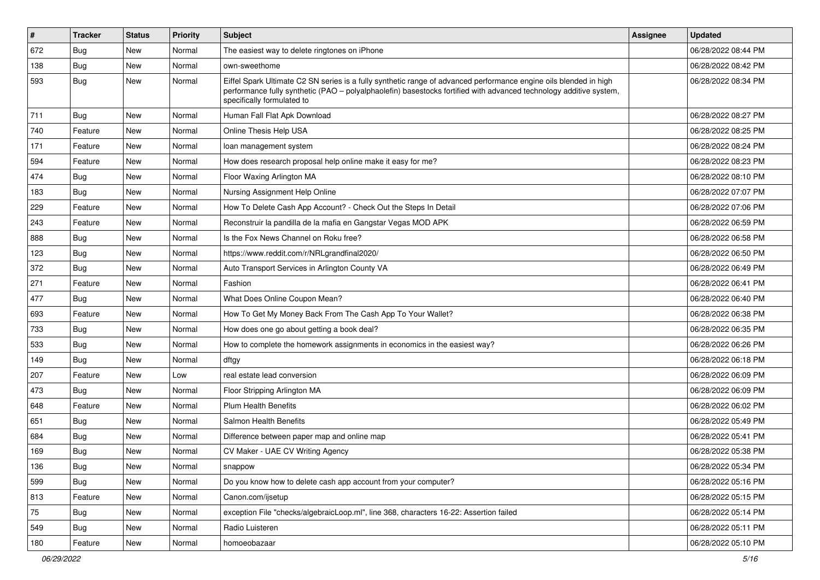| $\vert$ # | <b>Tracker</b> | <b>Status</b> | <b>Priority</b> | Subject                                                                                                                                                                                                                                                               | <b>Assignee</b> | <b>Updated</b>      |
|-----------|----------------|---------------|-----------------|-----------------------------------------------------------------------------------------------------------------------------------------------------------------------------------------------------------------------------------------------------------------------|-----------------|---------------------|
| 672       | <b>Bug</b>     | New           | Normal          | The easiest way to delete ringtones on iPhone                                                                                                                                                                                                                         |                 | 06/28/2022 08:44 PM |
| 138       | Bug            | New           | Normal          | own-sweethome                                                                                                                                                                                                                                                         |                 | 06/28/2022 08:42 PM |
| 593       | Bug            | New           | Normal          | Eiffel Spark Ultimate C2 SN series is a fully synthetic range of advanced performance engine oils blended in high<br>performance fully synthetic (PAO - polyalphaolefin) basestocks fortified with advanced technology additive system,<br>specifically formulated to |                 | 06/28/2022 08:34 PM |
| 711       | Bug            | New           | Normal          | Human Fall Flat Apk Download                                                                                                                                                                                                                                          |                 | 06/28/2022 08:27 PM |
| 740       | Feature        | New           | Normal          | Online Thesis Help USA                                                                                                                                                                                                                                                |                 | 06/28/2022 08:25 PM |
| 171       | Feature        | New           | Normal          | loan management system                                                                                                                                                                                                                                                |                 | 06/28/2022 08:24 PM |
| 594       | Feature        | New           | Normal          | How does research proposal help online make it easy for me?                                                                                                                                                                                                           |                 | 06/28/2022 08:23 PM |
| 474       | <b>Bug</b>     | New           | Normal          | Floor Waxing Arlington MA                                                                                                                                                                                                                                             |                 | 06/28/2022 08:10 PM |
| 183       | <b>Bug</b>     | New           | Normal          | Nursing Assignment Help Online                                                                                                                                                                                                                                        |                 | 06/28/2022 07:07 PM |
| 229       | Feature        | <b>New</b>    | Normal          | How To Delete Cash App Account? - Check Out the Steps In Detail                                                                                                                                                                                                       |                 | 06/28/2022 07:06 PM |
| 243       | Feature        | New           | Normal          | Reconstruir la pandilla de la mafia en Gangstar Vegas MOD APK                                                                                                                                                                                                         |                 | 06/28/2022 06:59 PM |
| 888       | <b>Bug</b>     | New           | Normal          | Is the Fox News Channel on Roku free?                                                                                                                                                                                                                                 |                 | 06/28/2022 06:58 PM |
| 123       | <b>Bug</b>     | New           | Normal          | https://www.reddit.com/r/NRLgrandfinal2020/                                                                                                                                                                                                                           |                 | 06/28/2022 06:50 PM |
| 372       | <b>Bug</b>     | New           | Normal          | Auto Transport Services in Arlington County VA                                                                                                                                                                                                                        |                 | 06/28/2022 06:49 PM |
| 271       | Feature        | New           | Normal          | Fashion                                                                                                                                                                                                                                                               |                 | 06/28/2022 06:41 PM |
| 477       | Bug            | New           | Normal          | What Does Online Coupon Mean?                                                                                                                                                                                                                                         |                 | 06/28/2022 06:40 PM |
| 693       | Feature        | New           | Normal          | How To Get My Money Back From The Cash App To Your Wallet?                                                                                                                                                                                                            |                 | 06/28/2022 06:38 PM |
| 733       | <b>Bug</b>     | New           | Normal          | How does one go about getting a book deal?                                                                                                                                                                                                                            |                 | 06/28/2022 06:35 PM |
| 533       | <b>Bug</b>     | New           | Normal          | How to complete the homework assignments in economics in the easiest way?                                                                                                                                                                                             |                 | 06/28/2022 06:26 PM |
| 149       | <b>Bug</b>     | New           | Normal          | dftgy                                                                                                                                                                                                                                                                 |                 | 06/28/2022 06:18 PM |
| 207       | Feature        | <b>New</b>    | Low             | real estate lead conversion                                                                                                                                                                                                                                           |                 | 06/28/2022 06:09 PM |
| 473       | Bug            | New           | Normal          | Floor Stripping Arlington MA                                                                                                                                                                                                                                          |                 | 06/28/2022 06:09 PM |
| 648       | Feature        | <b>New</b>    | Normal          | <b>Plum Health Benefits</b>                                                                                                                                                                                                                                           |                 | 06/28/2022 06:02 PM |
| 651       | Bug            | New           | Normal          | <b>Salmon Health Benefits</b>                                                                                                                                                                                                                                         |                 | 06/28/2022 05:49 PM |
| 684       | <b>Bug</b>     | New           | Normal          | Difference between paper map and online map                                                                                                                                                                                                                           |                 | 06/28/2022 05:41 PM |
| 169       | <b>Bug</b>     | New           | Normal          | CV Maker - UAE CV Writing Agency                                                                                                                                                                                                                                      |                 | 06/28/2022 05:38 PM |
| 136       | Bug            | New           | Normal          | snappow                                                                                                                                                                                                                                                               |                 | 06/28/2022 05:34 PM |
| 599       | Bug            | New           | Normal          | Do you know how to delete cash app account from your computer?                                                                                                                                                                                                        |                 | 06/28/2022 05:16 PM |
| 813       | Feature        | New           | Normal          | Canon.com/ijsetup                                                                                                                                                                                                                                                     |                 | 06/28/2022 05:15 PM |
| 75        | <b>Bug</b>     | New           | Normal          | exception File "checks/algebraicLoop.ml", line 368, characters 16-22: Assertion failed                                                                                                                                                                                |                 | 06/28/2022 05:14 PM |
| 549       | Bug            | New           | Normal          | Radio Luisteren                                                                                                                                                                                                                                                       |                 | 06/28/2022 05:11 PM |
| 180       | Feature        | New           | Normal          | homoeobazaar                                                                                                                                                                                                                                                          |                 | 06/28/2022 05:10 PM |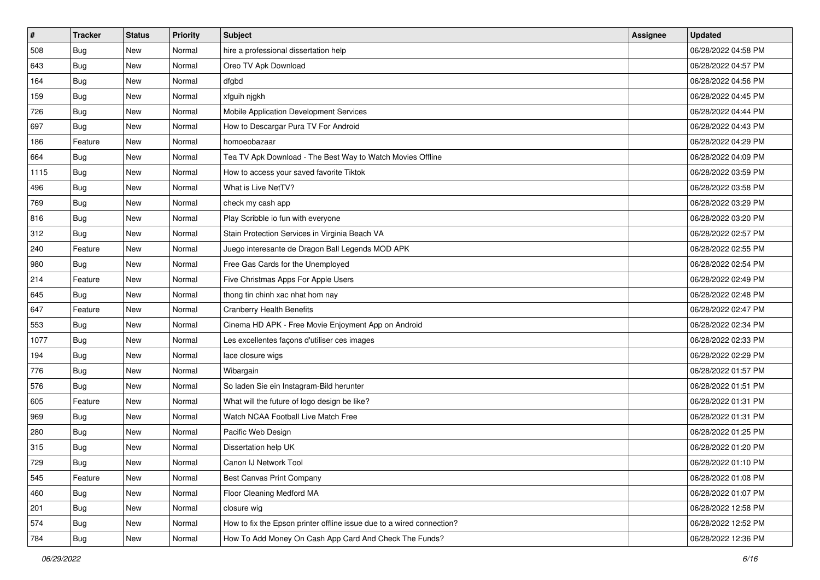| $\sharp$ | <b>Tracker</b> | <b>Status</b> | <b>Priority</b> | Subject                                                               | <b>Assignee</b> | <b>Updated</b>      |
|----------|----------------|---------------|-----------------|-----------------------------------------------------------------------|-----------------|---------------------|
| 508      | <b>Bug</b>     | New           | Normal          | hire a professional dissertation help                                 |                 | 06/28/2022 04:58 PM |
| 643      | <b>Bug</b>     | New           | Normal          | Oreo TV Apk Download                                                  |                 | 06/28/2022 04:57 PM |
| 164      | Bug            | New           | Normal          | dfgbd                                                                 |                 | 06/28/2022 04:56 PM |
| 159      | <b>Bug</b>     | New           | Normal          | xfguih njgkh                                                          |                 | 06/28/2022 04:45 PM |
| 726      | Bug            | New           | Normal          | Mobile Application Development Services                               |                 | 06/28/2022 04:44 PM |
| 697      | <b>Bug</b>     | New           | Normal          | How to Descargar Pura TV For Android                                  |                 | 06/28/2022 04:43 PM |
| 186      | Feature        | New           | Normal          | homoeobazaar                                                          |                 | 06/28/2022 04:29 PM |
| 664      | Bug            | New           | Normal          | Tea TV Apk Download - The Best Way to Watch Movies Offline            |                 | 06/28/2022 04:09 PM |
| 1115     | <b>Bug</b>     | New           | Normal          | How to access your saved favorite Tiktok                              |                 | 06/28/2022 03:59 PM |
| 496      | <b>Bug</b>     | New           | Normal          | What is Live NetTV?                                                   |                 | 06/28/2022 03:58 PM |
| 769      | <b>Bug</b>     | New           | Normal          | check my cash app                                                     |                 | 06/28/2022 03:29 PM |
| 816      | Bug            | New           | Normal          | Play Scribble io fun with everyone                                    |                 | 06/28/2022 03:20 PM |
| 312      | <b>Bug</b>     | New           | Normal          | Stain Protection Services in Virginia Beach VA                        |                 | 06/28/2022 02:57 PM |
| 240      | Feature        | New           | Normal          | Juego interesante de Dragon Ball Legends MOD APK                      |                 | 06/28/2022 02:55 PM |
| 980      | Bug            | <b>New</b>    | Normal          | Free Gas Cards for the Unemployed                                     |                 | 06/28/2022 02:54 PM |
| 214      | Feature        | New           | Normal          | Five Christmas Apps For Apple Users                                   |                 | 06/28/2022 02:49 PM |
| 645      | <b>Bug</b>     | New           | Normal          | thong tin chinh xac nhat hom nay                                      |                 | 06/28/2022 02:48 PM |
| 647      | Feature        | New           | Normal          | <b>Cranberry Health Benefits</b>                                      |                 | 06/28/2022 02:47 PM |
| 553      | Bug            | New           | Normal          | Cinema HD APK - Free Movie Enjoyment App on Android                   |                 | 06/28/2022 02:34 PM |
| 1077     | Bug            | New           | Normal          | Les excellentes façons d'utiliser ces images                          |                 | 06/28/2022 02:33 PM |
| 194      | <b>Bug</b>     | New           | Normal          | lace closure wigs                                                     |                 | 06/28/2022 02:29 PM |
| 776      | <b>Bug</b>     | New           | Normal          | Wibargain                                                             |                 | 06/28/2022 01:57 PM |
| 576      | Bug            | New           | Normal          | So laden Sie ein Instagram-Bild herunter                              |                 | 06/28/2022 01:51 PM |
| 605      | Feature        | New           | Normal          | What will the future of logo design be like?                          |                 | 06/28/2022 01:31 PM |
| 969      | Bug            | New           | Normal          | Watch NCAA Football Live Match Free                                   |                 | 06/28/2022 01:31 PM |
| 280      | <b>Bug</b>     | New           | Normal          | Pacific Web Design                                                    |                 | 06/28/2022 01:25 PM |
| 315      | <b>Bug</b>     | New           | Normal          | Dissertation help UK                                                  |                 | 06/28/2022 01:20 PM |
| 729      | Bug            | New           | Normal          | Canon IJ Network Tool                                                 |                 | 06/28/2022 01:10 PM |
| 545      | Feature        | New           | Normal          | Best Canvas Print Company                                             |                 | 06/28/2022 01:08 PM |
| 460      | <b>Bug</b>     | New           | Normal          | Floor Cleaning Medford MA                                             |                 | 06/28/2022 01:07 PM |
| 201      | Bug            | New           | Normal          | closure wig                                                           |                 | 06/28/2022 12:58 PM |
| 574      | <b>Bug</b>     | New           | Normal          | How to fix the Epson printer offline issue due to a wired connection? |                 | 06/28/2022 12:52 PM |
| 784      | <b>Bug</b>     | New           | Normal          | How To Add Money On Cash App Card And Check The Funds?                |                 | 06/28/2022 12:36 PM |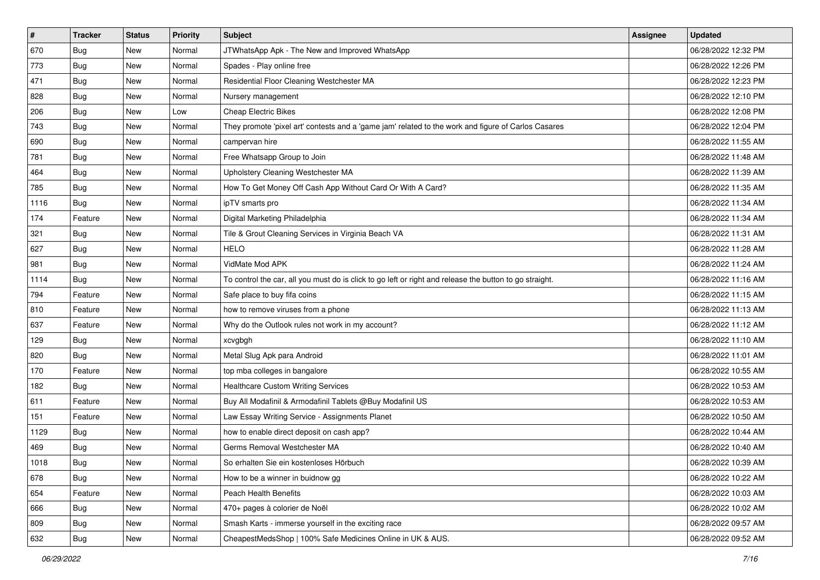| $\sharp$ | <b>Tracker</b> | <b>Status</b> | <b>Priority</b> | Subject                                                                                                 | <b>Assignee</b> | <b>Updated</b>      |
|----------|----------------|---------------|-----------------|---------------------------------------------------------------------------------------------------------|-----------------|---------------------|
| 670      | <b>Bug</b>     | New           | Normal          | JTWhatsApp Apk - The New and Improved WhatsApp                                                          |                 | 06/28/2022 12:32 PM |
| 773      | <b>Bug</b>     | New           | Normal          | Spades - Play online free                                                                               |                 | 06/28/2022 12:26 PM |
| 471      | Bug            | New           | Normal          | Residential Floor Cleaning Westchester MA                                                               |                 | 06/28/2022 12:23 PM |
| 828      | <b>Bug</b>     | New           | Normal          | Nursery management                                                                                      |                 | 06/28/2022 12:10 PM |
| 206      | Bug            | New           | Low             | <b>Cheap Electric Bikes</b>                                                                             |                 | 06/28/2022 12:08 PM |
| 743      | <b>Bug</b>     | New           | Normal          | They promote 'pixel art' contests and a 'game jam' related to the work and figure of Carlos Casares     |                 | 06/28/2022 12:04 PM |
| 690      | Bug            | New           | Normal          | campervan hire                                                                                          |                 | 06/28/2022 11:55 AM |
| 781      | <b>Bug</b>     | New           | Normal          | Free Whatsapp Group to Join                                                                             |                 | 06/28/2022 11:48 AM |
| 464      | <b>Bug</b>     | New           | Normal          | Upholstery Cleaning Westchester MA                                                                      |                 | 06/28/2022 11:39 AM |
| 785      | Bug            | <b>New</b>    | Normal          | How To Get Money Off Cash App Without Card Or With A Card?                                              |                 | 06/28/2022 11:35 AM |
| 1116     | <b>Bug</b>     | New           | Normal          | ipTV smarts pro                                                                                         |                 | 06/28/2022 11:34 AM |
| 174      | Feature        | New           | Normal          | Digital Marketing Philadelphia                                                                          |                 | 06/28/2022 11:34 AM |
| 321      | Bug            | New           | Normal          | Tile & Grout Cleaning Services in Virginia Beach VA                                                     |                 | 06/28/2022 11:31 AM |
| 627      | <b>Bug</b>     | New           | Normal          | <b>HELO</b>                                                                                             |                 | 06/28/2022 11:28 AM |
| 981      | <b>Bug</b>     | <b>New</b>    | Normal          | VidMate Mod APK                                                                                         |                 | 06/28/2022 11:24 AM |
| 1114     | <b>Bug</b>     | New           | Normal          | To control the car, all you must do is click to go left or right and release the button to go straight. |                 | 06/28/2022 11:16 AM |
| 794      | Feature        | New           | Normal          | Safe place to buy fifa coins                                                                            |                 | 06/28/2022 11:15 AM |
| 810      | Feature        | New           | Normal          | how to remove viruses from a phone                                                                      |                 | 06/28/2022 11:13 AM |
| 637      | Feature        | New           | Normal          | Why do the Outlook rules not work in my account?                                                        |                 | 06/28/2022 11:12 AM |
| 129      | Bug            | <b>New</b>    | Normal          | xcvgbgh                                                                                                 |                 | 06/28/2022 11:10 AM |
| 820      | <b>Bug</b>     | New           | Normal          | Metal Slug Apk para Android                                                                             |                 | 06/28/2022 11:01 AM |
| 170      | Feature        | New           | Normal          | top mba colleges in bangalore                                                                           |                 | 06/28/2022 10:55 AM |
| 182      | <b>Bug</b>     | New           | Normal          | <b>Healthcare Custom Writing Services</b>                                                               |                 | 06/28/2022 10:53 AM |
| 611      | Feature        | New           | Normal          | Buy All Modafinil & Armodafinil Tablets @Buy Modafinil US                                               |                 | 06/28/2022 10:53 AM |
| 151      | Feature        | New           | Normal          | Law Essay Writing Service - Assignments Planet                                                          |                 | 06/28/2022 10:50 AM |
| 1129     | <b>Bug</b>     | New           | Normal          | how to enable direct deposit on cash app?                                                               |                 | 06/28/2022 10:44 AM |
| 469      | <b>Bug</b>     | New           | Normal          | Germs Removal Westchester MA                                                                            |                 | 06/28/2022 10:40 AM |
| 1018     | i Bug          | New           | Normal          | So erhalten Sie ein kostenloses Hörbuch                                                                 |                 | 06/28/2022 10:39 AM |
| 678      | <b>Bug</b>     | New           | Normal          | How to be a winner in buidnow gg                                                                        |                 | 06/28/2022 10:22 AM |
| 654      | Feature        | New           | Normal          | Peach Health Benefits                                                                                   |                 | 06/28/2022 10:03 AM |
| 666      | <b>Bug</b>     | New           | Normal          | 470+ pages à colorier de Noël                                                                           |                 | 06/28/2022 10:02 AM |
| 809      | <b>Bug</b>     | New           | Normal          | Smash Karts - immerse yourself in the exciting race                                                     |                 | 06/28/2022 09:57 AM |
| 632      | <b>Bug</b>     | New           | Normal          | CheapestMedsShop   100% Safe Medicines Online in UK & AUS.                                              |                 | 06/28/2022 09:52 AM |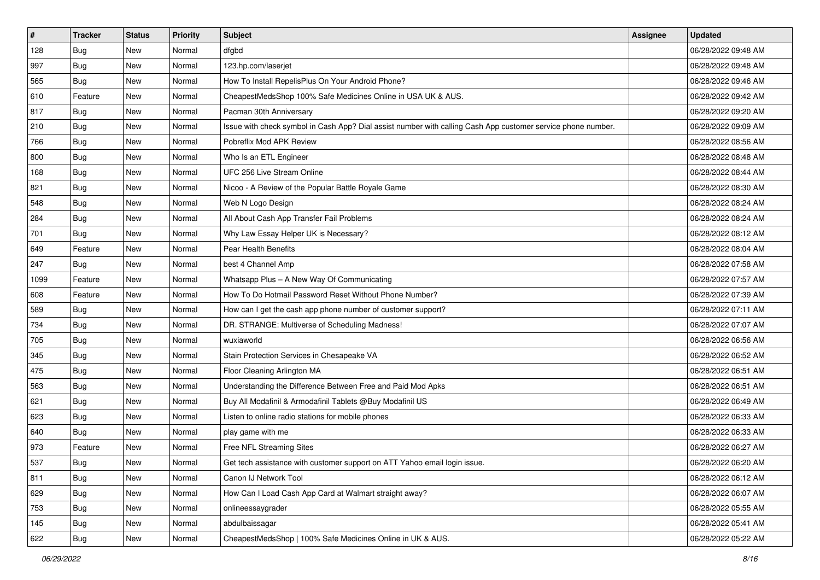| $\vert$ # | <b>Tracker</b> | <b>Status</b> | <b>Priority</b> | Subject                                                                                                      | <b>Assignee</b> | <b>Updated</b>      |
|-----------|----------------|---------------|-----------------|--------------------------------------------------------------------------------------------------------------|-----------------|---------------------|
| 128       | <b>Bug</b>     | New           | Normal          | dfgbd                                                                                                        |                 | 06/28/2022 09:48 AM |
| 997       | <b>Bug</b>     | New           | Normal          | 123.hp.com/laserjet                                                                                          |                 | 06/28/2022 09:48 AM |
| 565       | Bug            | New           | Normal          | How To Install RepelisPlus On Your Android Phone?                                                            |                 | 06/28/2022 09:46 AM |
| 610       | Feature        | New           | Normal          | CheapestMedsShop 100% Safe Medicines Online in USA UK & AUS.                                                 |                 | 06/28/2022 09:42 AM |
| 817       | <b>Bug</b>     | New           | Normal          | Pacman 30th Anniversary                                                                                      |                 | 06/28/2022 09:20 AM |
| 210       | <b>Bug</b>     | New           | Normal          | Issue with check symbol in Cash App? Dial assist number with calling Cash App customer service phone number. |                 | 06/28/2022 09:09 AM |
| 766       | Bug            | New           | Normal          | Pobreflix Mod APK Review                                                                                     |                 | 06/28/2022 08:56 AM |
| 800       | <b>Bug</b>     | New           | Normal          | Who Is an ETL Engineer                                                                                       |                 | 06/28/2022 08:48 AM |
| 168       | <b>Bug</b>     | New           | Normal          | UFC 256 Live Stream Online                                                                                   |                 | 06/28/2022 08:44 AM |
| 821       | Bug            | New           | Normal          | Nicoo - A Review of the Popular Battle Royale Game                                                           |                 | 06/28/2022 08:30 AM |
| 548       | <b>Bug</b>     | New           | Normal          | Web N Logo Design                                                                                            |                 | 06/28/2022 08:24 AM |
| 284       | <b>Bug</b>     | New           | Normal          | All About Cash App Transfer Fail Problems                                                                    |                 | 06/28/2022 08:24 AM |
| 701       | <b>Bug</b>     | New           | Normal          | Why Law Essay Helper UK is Necessary?                                                                        |                 | 06/28/2022 08:12 AM |
| 649       | Feature        | New           | Normal          | Pear Health Benefits                                                                                         |                 | 06/28/2022 08:04 AM |
| 247       | <b>Bug</b>     | New           | Normal          | best 4 Channel Amp                                                                                           |                 | 06/28/2022 07:58 AM |
| 1099      | Feature        | New           | Normal          | Whatsapp Plus - A New Way Of Communicating                                                                   |                 | 06/28/2022 07:57 AM |
| 608       | Feature        | New           | Normal          | How To Do Hotmail Password Reset Without Phone Number?                                                       |                 | 06/28/2022 07:39 AM |
| 589       | <b>Bug</b>     | New           | Normal          | How can I get the cash app phone number of customer support?                                                 |                 | 06/28/2022 07:11 AM |
| 734       | <b>Bug</b>     | New           | Normal          | DR. STRANGE: Multiverse of Scheduling Madness!                                                               |                 | 06/28/2022 07:07 AM |
| 705       | <b>Bug</b>     | New           | Normal          | wuxiaworld                                                                                                   |                 | 06/28/2022 06:56 AM |
| 345       | <b>Bug</b>     | New           | Normal          | Stain Protection Services in Chesapeake VA                                                                   |                 | 06/28/2022 06:52 AM |
| 475       | <b>Bug</b>     | New           | Normal          | Floor Cleaning Arlington MA                                                                                  |                 | 06/28/2022 06:51 AM |
| 563       | Bug            | <b>New</b>    | Normal          | Understanding the Difference Between Free and Paid Mod Apks                                                  |                 | 06/28/2022 06:51 AM |
| 621       | <b>Bug</b>     | New           | Normal          | Buy All Modafinil & Armodafinil Tablets @Buy Modafinil US                                                    |                 | 06/28/2022 06:49 AM |
| 623       | <b>Bug</b>     | New           | Normal          | Listen to online radio stations for mobile phones                                                            |                 | 06/28/2022 06:33 AM |
| 640       | <b>Bug</b>     | New           | Normal          | play game with me                                                                                            |                 | 06/28/2022 06:33 AM |
| 973       | Feature        | New           | Normal          | Free NFL Streaming Sites                                                                                     |                 | 06/28/2022 06:27 AM |
| 537       | Bug            | New           | Normal          | Get tech assistance with customer support on ATT Yahoo email login issue.                                    |                 | 06/28/2022 06:20 AM |
| 811       | Bug            | New           | Normal          | Canon IJ Network Tool                                                                                        |                 | 06/28/2022 06:12 AM |
| 629       | <b>Bug</b>     | New           | Normal          | How Can I Load Cash App Card at Walmart straight away?                                                       |                 | 06/28/2022 06:07 AM |
| 753       | <b>Bug</b>     | New           | Normal          | onlineessaygrader                                                                                            |                 | 06/28/2022 05:55 AM |
| 145       | <b>Bug</b>     | New           | Normal          | abdulbaissagar                                                                                               |                 | 06/28/2022 05:41 AM |
| 622       | <b>Bug</b>     | New           | Normal          | CheapestMedsShop   100% Safe Medicines Online in UK & AUS.                                                   |                 | 06/28/2022 05:22 AM |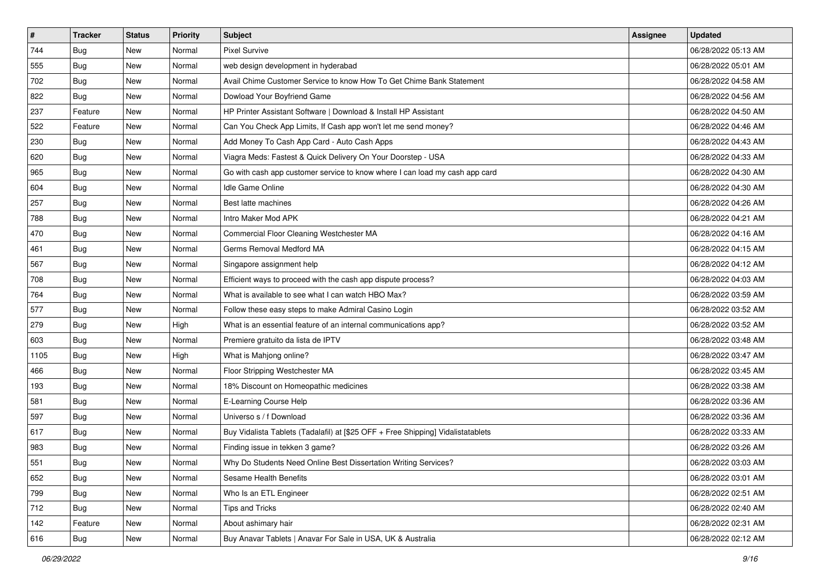| $\sharp$ | <b>Tracker</b> | <b>Status</b> | <b>Priority</b> | Subject                                                                          | Assignee | <b>Updated</b>      |
|----------|----------------|---------------|-----------------|----------------------------------------------------------------------------------|----------|---------------------|
| 744      | <b>Bug</b>     | New           | Normal          | <b>Pixel Survive</b>                                                             |          | 06/28/2022 05:13 AM |
| 555      | Bug            | <b>New</b>    | Normal          | web design development in hyderabad                                              |          | 06/28/2022 05:01 AM |
| 702      | Bug            | New           | Normal          | Avail Chime Customer Service to know How To Get Chime Bank Statement             |          | 06/28/2022 04:58 AM |
| 822      | <b>Bug</b>     | <b>New</b>    | Normal          | Dowload Your Boyfriend Game                                                      |          | 06/28/2022 04:56 AM |
| 237      | Feature        | New           | Normal          | HP Printer Assistant Software   Download & Install HP Assistant                  |          | 06/28/2022 04:50 AM |
| 522      | Feature        | New           | Normal          | Can You Check App Limits, If Cash app won't let me send money?                   |          | 06/28/2022 04:46 AM |
| 230      | Bug            | New           | Normal          | Add Money To Cash App Card - Auto Cash Apps                                      |          | 06/28/2022 04:43 AM |
| 620      | <b>Bug</b>     | New           | Normal          | Viagra Meds: Fastest & Quick Delivery On Your Doorstep - USA                     |          | 06/28/2022 04:33 AM |
| 965      | <b>Bug</b>     | New           | Normal          | Go with cash app customer service to know where I can load my cash app card      |          | 06/28/2022 04:30 AM |
| 604      | Bug            | New           | Normal          | Idle Game Online                                                                 |          | 06/28/2022 04:30 AM |
| 257      | <b>Bug</b>     | New           | Normal          | Best latte machines                                                              |          | 06/28/2022 04:26 AM |
| 788      | Bug            | New           | Normal          | Intro Maker Mod APK                                                              |          | 06/28/2022 04:21 AM |
| 470      | Bug            | New           | Normal          | Commercial Floor Cleaning Westchester MA                                         |          | 06/28/2022 04:16 AM |
| 461      | <b>Bug</b>     | New           | Normal          | Germs Removal Medford MA                                                         |          | 06/28/2022 04:15 AM |
| 567      | <b>Bug</b>     | <b>New</b>    | Normal          | Singapore assignment help                                                        |          | 06/28/2022 04:12 AM |
| 708      | <b>Bug</b>     | New           | Normal          | Efficient ways to proceed with the cash app dispute process?                     |          | 06/28/2022 04:03 AM |
| 764      | <b>Bug</b>     | New           | Normal          | What is available to see what I can watch HBO Max?                               |          | 06/28/2022 03:59 AM |
| 577      | Bug            | <b>New</b>    | Normal          | Follow these easy steps to make Admiral Casino Login                             |          | 06/28/2022 03:52 AM |
| 279      | <b>Bug</b>     | New           | High            | What is an essential feature of an internal communications app?                  |          | 06/28/2022 03:52 AM |
| 603      | Bug            | <b>New</b>    | Normal          | Premiere gratuito da lista de IPTV                                               |          | 06/28/2022 03:48 AM |
| 1105     | <b>Bug</b>     | New           | High            | What is Mahjong online?                                                          |          | 06/28/2022 03:47 AM |
| 466      | <b>Bug</b>     | New           | Normal          | Floor Stripping Westchester MA                                                   |          | 06/28/2022 03:45 AM |
| 193      | Bug            | <b>New</b>    | Normal          | 18% Discount on Homeopathic medicines                                            |          | 06/28/2022 03:38 AM |
| 581      | <b>Bug</b>     | New           | Normal          | E-Learning Course Help                                                           |          | 06/28/2022 03:36 AM |
| 597      | <b>Bug</b>     | New           | Normal          | Universo s / f Download                                                          |          | 06/28/2022 03:36 AM |
| 617      | <b>Bug</b>     | New           | Normal          | Buy Vidalista Tablets (Tadalafil) at [\$25 OFF + Free Shipping] Vidalistatablets |          | 06/28/2022 03:33 AM |
| 983      | <b>Bug</b>     | New           | Normal          | Finding issue in tekken 3 game?                                                  |          | 06/28/2022 03:26 AM |
| 551      | <b>Bug</b>     | New           | Normal          | Why Do Students Need Online Best Dissertation Writing Services?                  |          | 06/28/2022 03:03 AM |
| 652      | <b>Bug</b>     | New           | Normal          | Sesame Health Benefits                                                           |          | 06/28/2022 03:01 AM |
| 799      | Bug            | New           | Normal          | Who Is an ETL Engineer                                                           |          | 06/28/2022 02:51 AM |
| 712      | Bug            | New           | Normal          | Tips and Tricks                                                                  |          | 06/28/2022 02:40 AM |
| 142      | Feature        | New           | Normal          | About ashimary hair                                                              |          | 06/28/2022 02:31 AM |
| 616      | <b>Bug</b>     | New           | Normal          | Buy Anavar Tablets   Anavar For Sale in USA, UK & Australia                      |          | 06/28/2022 02:12 AM |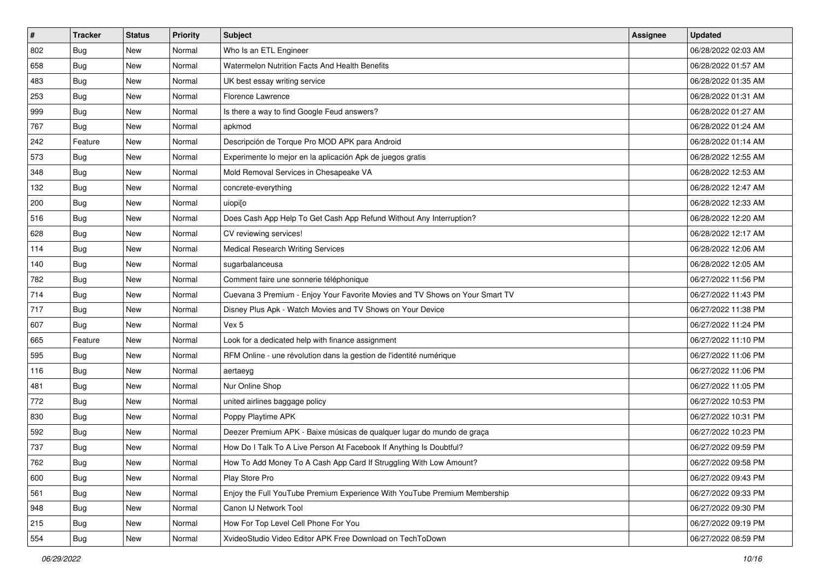| #   | <b>Tracker</b> | <b>Status</b> | <b>Priority</b> | Subject                                                                      | <b>Assignee</b> | <b>Updated</b>      |
|-----|----------------|---------------|-----------------|------------------------------------------------------------------------------|-----------------|---------------------|
| 802 | <b>Bug</b>     | New           | Normal          | Who Is an ETL Engineer                                                       |                 | 06/28/2022 02:03 AM |
| 658 | Bug            | New           | Normal          | Watermelon Nutrition Facts And Health Benefits                               |                 | 06/28/2022 01:57 AM |
| 483 | <b>Bug</b>     | New           | Normal          | UK best essay writing service                                                |                 | 06/28/2022 01:35 AM |
| 253 | <b>Bug</b>     | New           | Normal          | Florence Lawrence                                                            |                 | 06/28/2022 01:31 AM |
| 999 | <b>Bug</b>     | <b>New</b>    | Normal          | Is there a way to find Google Feud answers?                                  |                 | 06/28/2022 01:27 AM |
| 767 | <b>Bug</b>     | New           | Normal          | apkmod                                                                       |                 | 06/28/2022 01:24 AM |
| 242 | Feature        | New           | Normal          | Descripción de Torque Pro MOD APK para Android                               |                 | 06/28/2022 01:14 AM |
| 573 | <b>Bug</b>     | New           | Normal          | Experimente lo mejor en la aplicación Apk de juegos gratis                   |                 | 06/28/2022 12:55 AM |
| 348 | <b>Bug</b>     | New           | Normal          | Mold Removal Services in Chesapeake VA                                       |                 | 06/28/2022 12:53 AM |
| 132 | Bug            | New           | Normal          | concrete-everything                                                          |                 | 06/28/2022 12:47 AM |
| 200 | Bug            | New           | Normal          | uiopi[o                                                                      |                 | 06/28/2022 12:33 AM |
| 516 | Bug            | New           | Normal          | Does Cash App Help To Get Cash App Refund Without Any Interruption?          |                 | 06/28/2022 12:20 AM |
| 628 | Bug            | New           | Normal          | CV reviewing services!                                                       |                 | 06/28/2022 12:17 AM |
| 114 | <b>Bug</b>     | New           | Normal          | Medical Research Writing Services                                            |                 | 06/28/2022 12:06 AM |
| 140 | <b>Bug</b>     | New           | Normal          | sugarbalanceusa                                                              |                 | 06/28/2022 12:05 AM |
| 782 | Bug            | New           | Normal          | Comment faire une sonnerie téléphonique                                      |                 | 06/27/2022 11:56 PM |
| 714 | <b>Bug</b>     | New           | Normal          | Cuevana 3 Premium - Enjoy Your Favorite Movies and TV Shows on Your Smart TV |                 | 06/27/2022 11:43 PM |
| 717 | <b>Bug</b>     | New           | Normal          | Disney Plus Apk - Watch Movies and TV Shows on Your Device                   |                 | 06/27/2022 11:38 PM |
| 607 | <b>Bug</b>     | New           | Normal          | Vex 5                                                                        |                 | 06/27/2022 11:24 PM |
| 665 | Feature        | New           | Normal          | Look for a dedicated help with finance assignment                            |                 | 06/27/2022 11:10 PM |
| 595 | <b>Bug</b>     | New           | Normal          | RFM Online - une révolution dans la gestion de l'identité numérique          |                 | 06/27/2022 11:06 PM |
| 116 | <b>Bug</b>     | New           | Normal          | aertaeyg                                                                     |                 | 06/27/2022 11:06 PM |
| 481 | Bug            | <b>New</b>    | Normal          | Nur Online Shop                                                              |                 | 06/27/2022 11:05 PM |
| 772 | <b>Bug</b>     | New           | Normal          | united airlines baggage policy                                               |                 | 06/27/2022 10:53 PM |
| 830 | <b>Bug</b>     | New           | Normal          | Poppy Playtime APK                                                           |                 | 06/27/2022 10:31 PM |
| 592 | Bug            | New           | Normal          | Deezer Premium APK - Baixe músicas de qualquer lugar do mundo de graça       |                 | 06/27/2022 10:23 PM |
| 737 | <b>Bug</b>     | New           | Normal          | How Do I Talk To A Live Person At Facebook If Anything Is Doubtful?          |                 | 06/27/2022 09:59 PM |
| 762 | <b>Bug</b>     | New           | Normal          | How To Add Money To A Cash App Card If Struggling With Low Amount?           |                 | 06/27/2022 09:58 PM |
| 600 | <b>Bug</b>     | New           | Normal          | Play Store Pro                                                               |                 | 06/27/2022 09:43 PM |
| 561 | <b>Bug</b>     | New           | Normal          | Enjoy the Full YouTube Premium Experience With YouTube Premium Membership    |                 | 06/27/2022 09:33 PM |
| 948 | <b>Bug</b>     | New           | Normal          | Canon IJ Network Tool                                                        |                 | 06/27/2022 09:30 PM |
| 215 | Bug            | New           | Normal          | How For Top Level Cell Phone For You                                         |                 | 06/27/2022 09:19 PM |
| 554 | <b>Bug</b>     | New           | Normal          | XvideoStudio Video Editor APK Free Download on TechToDown                    |                 | 06/27/2022 08:59 PM |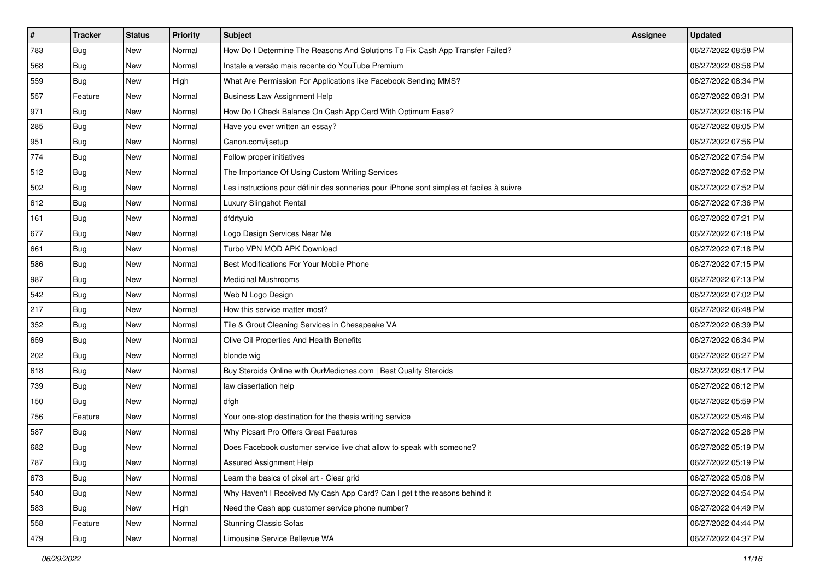| $\vert$ # | <b>Tracker</b> | <b>Status</b> | Priority | Subject                                                                                  | <b>Assignee</b> | <b>Updated</b>      |
|-----------|----------------|---------------|----------|------------------------------------------------------------------------------------------|-----------------|---------------------|
| 783       | <b>Bug</b>     | New           | Normal   | How Do I Determine The Reasons And Solutions To Fix Cash App Transfer Failed?            |                 | 06/27/2022 08:58 PM |
| 568       | Bug            | New           | Normal   | Instale a versão mais recente do YouTube Premium                                         |                 | 06/27/2022 08:56 PM |
| 559       | Bug            | New           | High     | What Are Permission For Applications like Facebook Sending MMS?                          |                 | 06/27/2022 08:34 PM |
| 557       | Feature        | New           | Normal   | <b>Business Law Assignment Help</b>                                                      |                 | 06/27/2022 08:31 PM |
| 971       | <b>Bug</b>     | <b>New</b>    | Normal   | How Do I Check Balance On Cash App Card With Optimum Ease?                               |                 | 06/27/2022 08:16 PM |
| 285       | Bug            | New           | Normal   | Have you ever written an essay?                                                          |                 | 06/27/2022 08:05 PM |
| 951       | <b>Bug</b>     | New           | Normal   | Canon.com/ijsetup                                                                        |                 | 06/27/2022 07:56 PM |
| 774       | Bug            | New           | Normal   | Follow proper initiatives                                                                |                 | 06/27/2022 07:54 PM |
| 512       | <b>Bug</b>     | New           | Normal   | The Importance Of Using Custom Writing Services                                          |                 | 06/27/2022 07:52 PM |
| 502       | Bug            | <b>New</b>    | Normal   | Les instructions pour définir des sonneries pour iPhone sont simples et faciles à suivre |                 | 06/27/2022 07:52 PM |
| 612       | <b>Bug</b>     | New           | Normal   | Luxury Slingshot Rental                                                                  |                 | 06/27/2022 07:36 PM |
| 161       | <b>Bug</b>     | New           | Normal   | dfdrtyuio                                                                                |                 | 06/27/2022 07:21 PM |
| 677       | Bug            | New           | Normal   | Logo Design Services Near Me                                                             |                 | 06/27/2022 07:18 PM |
| 661       | <b>Bug</b>     | New           | Normal   | Turbo VPN MOD APK Download                                                               |                 | 06/27/2022 07:18 PM |
| 586       | Bug            | New           | Normal   | Best Modifications For Your Mobile Phone                                                 |                 | 06/27/2022 07:15 PM |
| 987       | Bug            | New           | Normal   | <b>Medicinal Mushrooms</b>                                                               |                 | 06/27/2022 07:13 PM |
| 542       | <b>Bug</b>     | New           | Normal   | Web N Logo Design                                                                        |                 | 06/27/2022 07:02 PM |
| 217       | <b>Bug</b>     | New           | Normal   | How this service matter most?                                                            |                 | 06/27/2022 06:48 PM |
| 352       | <b>Bug</b>     | New           | Normal   | Tile & Grout Cleaning Services in Chesapeake VA                                          |                 | 06/27/2022 06:39 PM |
| 659       | Bug            | New           | Normal   | Olive Oil Properties And Health Benefits                                                 |                 | 06/27/2022 06:34 PM |
| 202       | Bug            | New           | Normal   | blonde wig                                                                               |                 | 06/27/2022 06:27 PM |
| 618       | <b>Bug</b>     | New           | Normal   | Buy Steroids Online with OurMedicnes.com   Best Quality Steroids                         |                 | 06/27/2022 06:17 PM |
| 739       | <b>Bug</b>     | <b>New</b>    | Normal   | law dissertation help                                                                    |                 | 06/27/2022 06:12 PM |
| 150       | <b>Bug</b>     | New           | Normal   | dfgh                                                                                     |                 | 06/27/2022 05:59 PM |
| 756       | Feature        | New           | Normal   | Your one-stop destination for the thesis writing service                                 |                 | 06/27/2022 05:46 PM |
| 587       | Bug            | New           | Normal   | Why Picsart Pro Offers Great Features                                                    |                 | 06/27/2022 05:28 PM |
| 682       | <b>Bug</b>     | New           | Normal   | Does Facebook customer service live chat allow to speak with someone?                    |                 | 06/27/2022 05:19 PM |
| 787       | <b>Bug</b>     | New           | Normal   | Assured Assignment Help                                                                  |                 | 06/27/2022 05:19 PM |
| 673       | <b>Bug</b>     | New           | Normal   | Learn the basics of pixel art - Clear grid                                               |                 | 06/27/2022 05:06 PM |
| 540       | <b>Bug</b>     | New           | Normal   | Why Haven't I Received My Cash App Card? Can I get t the reasons behind it               |                 | 06/27/2022 04:54 PM |
| 583       | <b>Bug</b>     | New           | High     | Need the Cash app customer service phone number?                                         |                 | 06/27/2022 04:49 PM |
| 558       | Feature        | New           | Normal   | <b>Stunning Classic Sofas</b>                                                            |                 | 06/27/2022 04:44 PM |
| 479       | <b>Bug</b>     | New           | Normal   | Limousine Service Bellevue WA                                                            |                 | 06/27/2022 04:37 PM |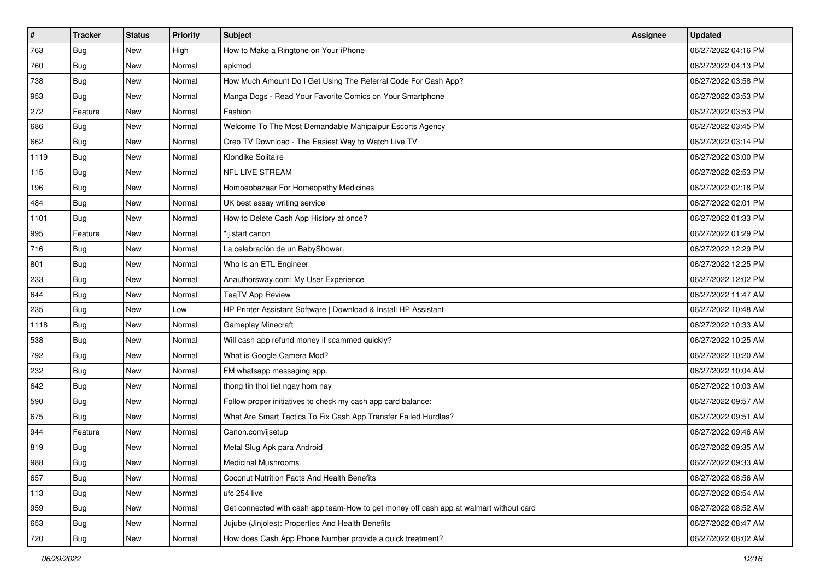| #    | <b>Tracker</b> | <b>Status</b> | <b>Priority</b> | Subject                                                                                | <b>Assignee</b> | <b>Updated</b>      |
|------|----------------|---------------|-----------------|----------------------------------------------------------------------------------------|-----------------|---------------------|
| 763  | <b>Bug</b>     | New           | High            | How to Make a Ringtone on Your iPhone                                                  |                 | 06/27/2022 04:16 PM |
| 760  | <b>Bug</b>     | New           | Normal          | apkmod                                                                                 |                 | 06/27/2022 04:13 PM |
| 738  | <b>Bug</b>     | New           | Normal          | How Much Amount Do I Get Using The Referral Code For Cash App?                         |                 | 06/27/2022 03:58 PM |
| 953  | <b>Bug</b>     | New           | Normal          | Manga Dogs - Read Your Favorite Comics on Your Smartphone                              |                 | 06/27/2022 03:53 PM |
| 272  | Feature        | New           | Normal          | Fashion                                                                                |                 | 06/27/2022 03:53 PM |
| 686  | Bug            | New           | Normal          | Welcome To The Most Demandable Mahipalpur Escorts Agency                               |                 | 06/27/2022 03:45 PM |
| 662  | <b>Bug</b>     | New           | Normal          | Oreo TV Download - The Easiest Way to Watch Live TV                                    |                 | 06/27/2022 03:14 PM |
| 1119 | <b>Bug</b>     | New           | Normal          | Klondike Solitaire                                                                     |                 | 06/27/2022 03:00 PM |
| 115  | <b>Bug</b>     | New           | Normal          | <b>NFL LIVE STREAM</b>                                                                 |                 | 06/27/2022 02:53 PM |
| 196  | Bug            | New           | Normal          | Homoeobazaar For Homeopathy Medicines                                                  |                 | 06/27/2022 02:18 PM |
| 484  | <b>Bug</b>     | New           | Normal          | UK best essay writing service                                                          |                 | 06/27/2022 02:01 PM |
| 1101 | Bug            | New           | Normal          | How to Delete Cash App History at once?                                                |                 | 06/27/2022 01:33 PM |
| 995  | Feature        | New           | Normal          | "ij.start canon                                                                        |                 | 06/27/2022 01:29 PM |
| 716  | <b>Bug</b>     | New           | Normal          | La celebración de un BabyShower.                                                       |                 | 06/27/2022 12:29 PM |
| 801  | <b>Bug</b>     | New           | Normal          | Who Is an ETL Engineer                                                                 |                 | 06/27/2022 12:25 PM |
| 233  | Bug            | New           | Normal          | Anauthorsway.com: My User Experience                                                   |                 | 06/27/2022 12:02 PM |
| 644  | <b>Bug</b>     | New           | Normal          | <b>TeaTV App Review</b>                                                                |                 | 06/27/2022 11:47 AM |
| 235  | <b>Bug</b>     | New           | Low             | HP Printer Assistant Software   Download & Install HP Assistant                        |                 | 06/27/2022 10:48 AM |
| 1118 | <b>Bug</b>     | New           | Normal          | <b>Gameplay Minecraft</b>                                                              |                 | 06/27/2022 10:33 AM |
| 538  | <b>Bug</b>     | New           | Normal          | Will cash app refund money if scammed quickly?                                         |                 | 06/27/2022 10:25 AM |
| 792  | <b>Bug</b>     | New           | Normal          | What is Google Camera Mod?                                                             |                 | 06/27/2022 10:20 AM |
| 232  | <b>Bug</b>     | New           | Normal          | FM whatsapp messaging app.                                                             |                 | 06/27/2022 10:04 AM |
| 642  | Bug            | New           | Normal          | thong tin thoi tiet ngay hom nay                                                       |                 | 06/27/2022 10:03 AM |
| 590  | <b>Bug</b>     | New           | Normal          | Follow proper initiatives to check my cash app card balance:                           |                 | 06/27/2022 09:57 AM |
| 675  | <b>Bug</b>     | New           | Normal          | What Are Smart Tactics To Fix Cash App Transfer Failed Hurdles?                        |                 | 06/27/2022 09:51 AM |
| 944  | Feature        | New           | Normal          | Canon.com/ijsetup                                                                      |                 | 06/27/2022 09:46 AM |
| 819  | <b>Bug</b>     | New           | Normal          | Metal Slug Apk para Android                                                            |                 | 06/27/2022 09:35 AM |
| 988  | <b>Bug</b>     | New           | Normal          | Medicinal Mushrooms                                                                    |                 | 06/27/2022 09:33 AM |
| 657  | Bug            | New           | Normal          | Coconut Nutrition Facts And Health Benefits                                            |                 | 06/27/2022 08:56 AM |
| 113  | Bug            | New           | Normal          | ufc 254 live                                                                           |                 | 06/27/2022 08:54 AM |
| 959  | <b>Bug</b>     | New           | Normal          | Get connected with cash app team-How to get money off cash app at walmart without card |                 | 06/27/2022 08:52 AM |
| 653  | <b>Bug</b>     | New           | Normal          | Jujube (Jinjoles): Properties And Health Benefits                                      |                 | 06/27/2022 08:47 AM |
| 720  | <b>Bug</b>     | New           | Normal          | How does Cash App Phone Number provide a quick treatment?                              |                 | 06/27/2022 08:02 AM |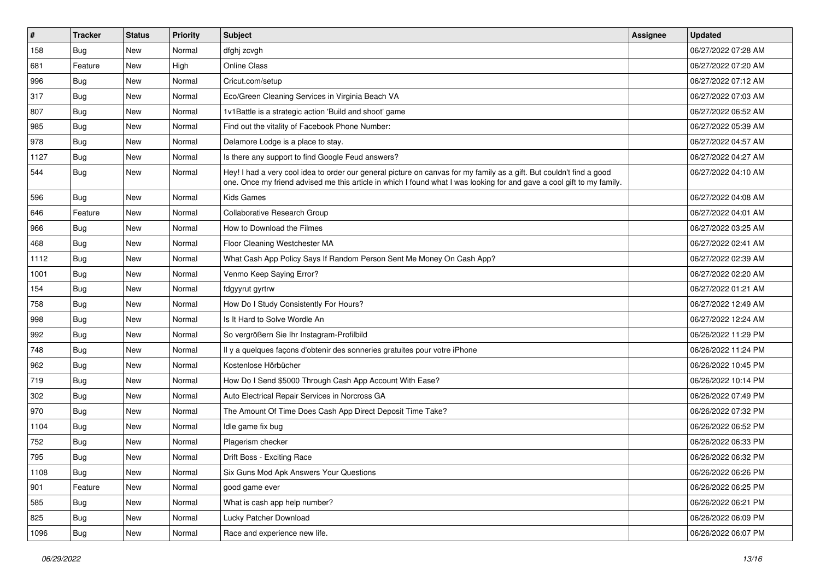| $\vert$ # | <b>Tracker</b> | <b>Status</b> | <b>Priority</b> | Subject                                                                                                                                                                                                                                        | Assignee | <b>Updated</b>      |
|-----------|----------------|---------------|-----------------|------------------------------------------------------------------------------------------------------------------------------------------------------------------------------------------------------------------------------------------------|----------|---------------------|
| 158       | <b>Bug</b>     | New           | Normal          | dfghj zcvgh                                                                                                                                                                                                                                    |          | 06/27/2022 07:28 AM |
| 681       | Feature        | <b>New</b>    | High            | <b>Online Class</b>                                                                                                                                                                                                                            |          | 06/27/2022 07:20 AM |
| 996       | Bug            | New           | Normal          | Cricut.com/setup                                                                                                                                                                                                                               |          | 06/27/2022 07:12 AM |
| 317       | <b>Bug</b>     | <b>New</b>    | Normal          | Eco/Green Cleaning Services in Virginia Beach VA                                                                                                                                                                                               |          | 06/27/2022 07:03 AM |
| 807       | Bug            | <b>New</b>    | Normal          | 1v1Battle is a strategic action 'Build and shoot' game                                                                                                                                                                                         |          | 06/27/2022 06:52 AM |
| 985       | <b>Bug</b>     | New           | Normal          | Find out the vitality of Facebook Phone Number:                                                                                                                                                                                                |          | 06/27/2022 05:39 AM |
| 978       | Bug            | <b>New</b>    | Normal          | Delamore Lodge is a place to stay.                                                                                                                                                                                                             |          | 06/27/2022 04:57 AM |
| 1127      | Bug            | New           | Normal          | Is there any support to find Google Feud answers?                                                                                                                                                                                              |          | 06/27/2022 04:27 AM |
| 544       | <b>Bug</b>     | New           | Normal          | Hey! I had a very cool idea to order our general picture on canvas for my family as a gift. But couldn't find a good<br>one. Once my friend advised me this article in which I found what I was looking for and gave a cool gift to my family. |          | 06/27/2022 04:10 AM |
| 596       | Bug            | New           | Normal          | <b>Kids Games</b>                                                                                                                                                                                                                              |          | 06/27/2022 04:08 AM |
| 646       | Feature        | <b>New</b>    | Normal          | Collaborative Research Group                                                                                                                                                                                                                   |          | 06/27/2022 04:01 AM |
| 966       | Bug            | <b>New</b>    | Normal          | How to Download the Filmes                                                                                                                                                                                                                     |          | 06/27/2022 03:25 AM |
| 468       | Bug            | New           | Normal          | Floor Cleaning Westchester MA                                                                                                                                                                                                                  |          | 06/27/2022 02:41 AM |
| 1112      | Bug            | <b>New</b>    | Normal          | What Cash App Policy Says If Random Person Sent Me Money On Cash App?                                                                                                                                                                          |          | 06/27/2022 02:39 AM |
| 1001      | <b>Bug</b>     | New           | Normal          | Venmo Keep Saying Error?                                                                                                                                                                                                                       |          | 06/27/2022 02:20 AM |
| 154       | Bug            | <b>New</b>    | Normal          | fdgyyrut gyrtrw                                                                                                                                                                                                                                |          | 06/27/2022 01:21 AM |
| 758       | Bug            | <b>New</b>    | Normal          | How Do I Study Consistently For Hours?                                                                                                                                                                                                         |          | 06/27/2022 12:49 AM |
| 998       | Bug            | <b>New</b>    | Normal          | Is It Hard to Solve Wordle An                                                                                                                                                                                                                  |          | 06/27/2022 12:24 AM |
| 992       | Bug            | New           | Normal          | So vergrößern Sie Ihr Instagram-Profilbild                                                                                                                                                                                                     |          | 06/26/2022 11:29 PM |
| 748       | <b>Bug</b>     | <b>New</b>    | Normal          | Il y a quelques façons d'obtenir des sonneries gratuites pour votre iPhone                                                                                                                                                                     |          | 06/26/2022 11:24 PM |
| 962       | <b>Bug</b>     | New           | Normal          | Kostenlose Hörbücher                                                                                                                                                                                                                           |          | 06/26/2022 10:45 PM |
| 719       | Bug            | <b>New</b>    | Normal          | How Do I Send \$5000 Through Cash App Account With Ease?                                                                                                                                                                                       |          | 06/26/2022 10:14 PM |
| 302       | Bug            | New           | Normal          | Auto Electrical Repair Services in Norcross GA                                                                                                                                                                                                 |          | 06/26/2022 07:49 PM |
| 970       | <b>Bug</b>     | <b>New</b>    | Normal          | The Amount Of Time Does Cash App Direct Deposit Time Take?                                                                                                                                                                                     |          | 06/26/2022 07:32 PM |
| 1104      | Bug            | <b>New</b>    | Normal          | Idle game fix bug                                                                                                                                                                                                                              |          | 06/26/2022 06:52 PM |
| 752       | <b>Bug</b>     | New           | Normal          | Plagerism checker                                                                                                                                                                                                                              |          | 06/26/2022 06:33 PM |
| 795       | <b>Bug</b>     | <b>New</b>    | Normal          | Drift Boss - Exciting Race                                                                                                                                                                                                                     |          | 06/26/2022 06:32 PM |
| 1108      | <b>Bug</b>     | New           | Normal          | Six Guns Mod Apk Answers Your Questions                                                                                                                                                                                                        |          | 06/26/2022 06:26 PM |
| 901       | Feature        | New           | Normal          | good game ever                                                                                                                                                                                                                                 |          | 06/26/2022 06:25 PM |
| 585       | Bug            | New           | Normal          | What is cash app help number?                                                                                                                                                                                                                  |          | 06/26/2022 06:21 PM |
| 825       | Bug            | New           | Normal          | Lucky Patcher Download                                                                                                                                                                                                                         |          | 06/26/2022 06:09 PM |
| 1096      | <b>Bug</b>     | New           | Normal          | Race and experience new life.                                                                                                                                                                                                                  |          | 06/26/2022 06:07 PM |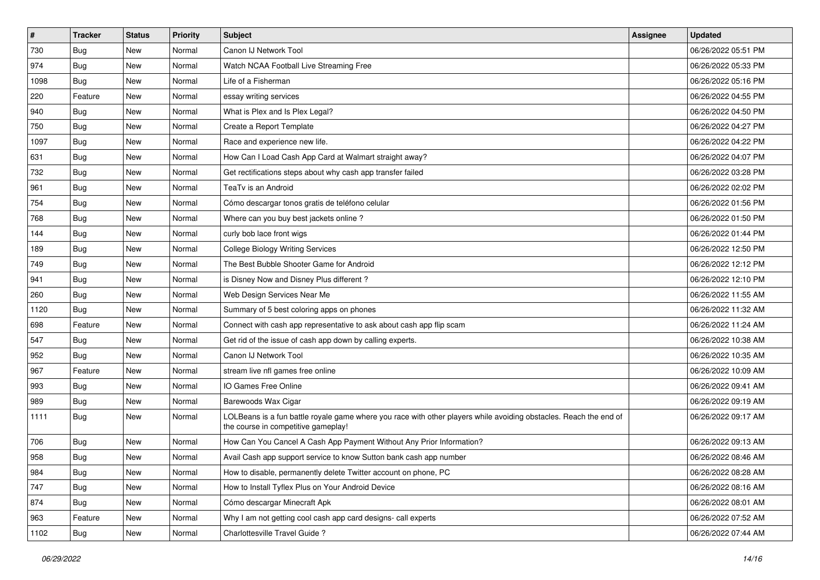| $\vert$ # | <b>Tracker</b> | <b>Status</b> | <b>Priority</b> | <b>Subject</b>                                                                                                                                           | <b>Assignee</b> | <b>Updated</b>      |
|-----------|----------------|---------------|-----------------|----------------------------------------------------------------------------------------------------------------------------------------------------------|-----------------|---------------------|
| 730       | <b>Bug</b>     | New           | Normal          | Canon IJ Network Tool                                                                                                                                    |                 | 06/26/2022 05:51 PM |
| 974       | Bug            | <b>New</b>    | Normal          | Watch NCAA Football Live Streaming Free                                                                                                                  |                 | 06/26/2022 05:33 PM |
| 1098      | <b>Bug</b>     | New           | Normal          | Life of a Fisherman                                                                                                                                      |                 | 06/26/2022 05:16 PM |
| 220       | Feature        | New           | Normal          | essay writing services                                                                                                                                   |                 | 06/26/2022 04:55 PM |
| 940       | <b>Bug</b>     | New           | Normal          | What is Plex and Is Plex Legal?                                                                                                                          |                 | 06/26/2022 04:50 PM |
| 750       | <b>Bug</b>     | New           | Normal          | Create a Report Template                                                                                                                                 |                 | 06/26/2022 04:27 PM |
| 1097      | <b>Bug</b>     | New           | Normal          | Race and experience new life.                                                                                                                            |                 | 06/26/2022 04:22 PM |
| 631       | <b>Bug</b>     | New           | Normal          | How Can I Load Cash App Card at Walmart straight away?                                                                                                   |                 | 06/26/2022 04:07 PM |
| 732       | <b>Bug</b>     | New           | Normal          | Get rectifications steps about why cash app transfer failed                                                                                              |                 | 06/26/2022 03:28 PM |
| 961       | Bug            | New           | Normal          | TeaTv is an Android                                                                                                                                      |                 | 06/26/2022 02:02 PM |
| 754       | <b>Bug</b>     | New           | Normal          | Cómo descargar tonos gratis de teléfono celular                                                                                                          |                 | 06/26/2022 01:56 PM |
| 768       | <b>Bug</b>     | New           | Normal          | Where can you buy best jackets online?                                                                                                                   |                 | 06/26/2022 01:50 PM |
| 144       | <b>Bug</b>     | New           | Normal          | curly bob lace front wigs                                                                                                                                |                 | 06/26/2022 01:44 PM |
| 189       | <b>Bug</b>     | New           | Normal          | <b>College Biology Writing Services</b>                                                                                                                  |                 | 06/26/2022 12:50 PM |
| 749       | Bug            | New           | Normal          | The Best Bubble Shooter Game for Android                                                                                                                 |                 | 06/26/2022 12:12 PM |
| 941       | <b>Bug</b>     | New           | Normal          | is Disney Now and Disney Plus different?                                                                                                                 |                 | 06/26/2022 12:10 PM |
| 260       | Bug            | New           | Normal          | Web Design Services Near Me                                                                                                                              |                 | 06/26/2022 11:55 AM |
| 1120      | Bug            | <b>New</b>    | Normal          | Summary of 5 best coloring apps on phones                                                                                                                |                 | 06/26/2022 11:32 AM |
| 698       | Feature        | New           | Normal          | Connect with cash app representative to ask about cash app flip scam                                                                                     |                 | 06/26/2022 11:24 AM |
| 547       | Bug            | <b>New</b>    | Normal          | Get rid of the issue of cash app down by calling experts.                                                                                                |                 | 06/26/2022 10:38 AM |
| 952       | Bug            | New           | Normal          | Canon IJ Network Tool                                                                                                                                    |                 | 06/26/2022 10:35 AM |
| 967       | Feature        | <b>New</b>    | Normal          | stream live nfl games free online                                                                                                                        |                 | 06/26/2022 10:09 AM |
| 993       | Bug            | New           | Normal          | IO Games Free Online                                                                                                                                     |                 | 06/26/2022 09:41 AM |
| 989       | <b>Bug</b>     | New           | Normal          | Barewoods Wax Cigar                                                                                                                                      |                 | 06/26/2022 09:19 AM |
| 1111      | <b>Bug</b>     | New           | Normal          | LOLBeans is a fun battle royale game where you race with other players while avoiding obstacles. Reach the end of<br>the course in competitive gameplay! |                 | 06/26/2022 09:17 AM |
| 706       | Bug            | New           | Normal          | How Can You Cancel A Cash App Payment Without Any Prior Information?                                                                                     |                 | 06/26/2022 09:13 AM |
| 958       | <b>Bug</b>     | New           | Normal          | Avail Cash app support service to know Sutton bank cash app number                                                                                       |                 | 06/26/2022 08:46 AM |
| 984       | Bug            | New           | Normal          | How to disable, permanently delete Twitter account on phone, PC                                                                                          |                 | 06/26/2022 08:28 AM |
| 747       | <b>Bug</b>     | New           | Normal          | How to Install Tyflex Plus on Your Android Device                                                                                                        |                 | 06/26/2022 08:16 AM |
| 874       | Bug            | New           | Normal          | Cómo descargar Minecraft Apk                                                                                                                             |                 | 06/26/2022 08:01 AM |
| 963       | Feature        | New           | Normal          | Why I am not getting cool cash app card designs- call experts                                                                                            |                 | 06/26/2022 07:52 AM |
| 1102      | <b>Bug</b>     | New           | Normal          | Charlottesville Travel Guide ?                                                                                                                           |                 | 06/26/2022 07:44 AM |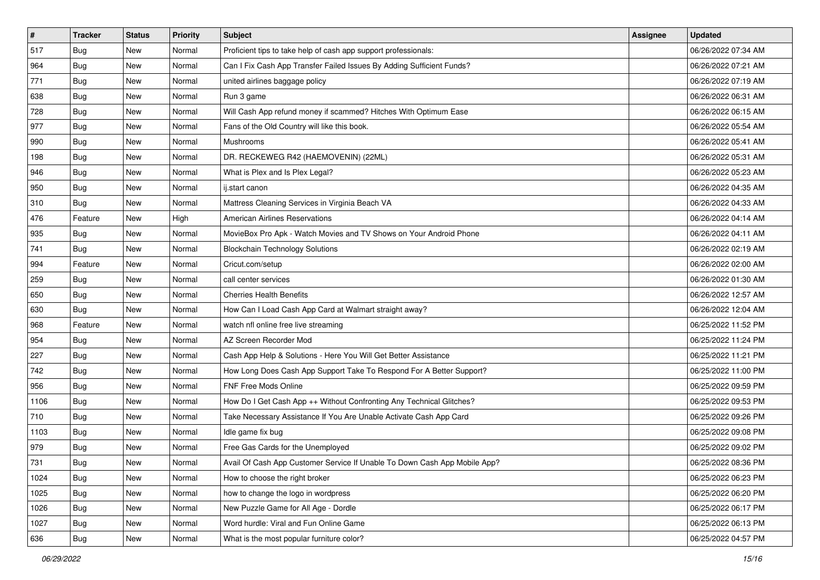| $\vert$ # | <b>Tracker</b> | <b>Status</b> | <b>Priority</b> | Subject                                                                   | <b>Assignee</b> | <b>Updated</b>      |
|-----------|----------------|---------------|-----------------|---------------------------------------------------------------------------|-----------------|---------------------|
| 517       | <b>Bug</b>     | New           | Normal          | Proficient tips to take help of cash app support professionals:           |                 | 06/26/2022 07:34 AM |
| 964       | <b>Bug</b>     | New           | Normal          | Can I Fix Cash App Transfer Failed Issues By Adding Sufficient Funds?     |                 | 06/26/2022 07:21 AM |
| 771       | Bug            | New           | Normal          | united airlines baggage policy                                            |                 | 06/26/2022 07:19 AM |
| 638       | <b>Bug</b>     | New           | Normal          | Run 3 game                                                                |                 | 06/26/2022 06:31 AM |
| 728       | <b>Bug</b>     | <b>New</b>    | Normal          | Will Cash App refund money if scammed? Hitches With Optimum Ease          |                 | 06/26/2022 06:15 AM |
| 977       | <b>Bug</b>     | New           | Normal          | Fans of the Old Country will like this book.                              |                 | 06/26/2022 05:54 AM |
| 990       | Bug            | New           | Normal          | Mushrooms                                                                 |                 | 06/26/2022 05:41 AM |
| 198       | <b>Bug</b>     | New           | Normal          | DR. RECKEWEG R42 (HAEMOVENIN) (22ML)                                      |                 | 06/26/2022 05:31 AM |
| 946       | <b>Bug</b>     | New           | Normal          | What is Plex and Is Plex Legal?                                           |                 | 06/26/2022 05:23 AM |
| 950       | Bug            | New           | Normal          | ij.start canon                                                            |                 | 06/26/2022 04:35 AM |
| 310       | <b>Bug</b>     | New           | Normal          | Mattress Cleaning Services in Virginia Beach VA                           |                 | 06/26/2022 04:33 AM |
| 476       | Feature        | New           | High            | <b>American Airlines Reservations</b>                                     |                 | 06/26/2022 04:14 AM |
| 935       | Bug            | New           | Normal          | MovieBox Pro Apk - Watch Movies and TV Shows on Your Android Phone        |                 | 06/26/2022 04:11 AM |
| 741       | <b>Bug</b>     | New           | Normal          | <b>Blockchain Technology Solutions</b>                                    |                 | 06/26/2022 02:19 AM |
| 994       | Feature        | New           | Normal          | Cricut.com/setup                                                          |                 | 06/26/2022 02:00 AM |
| 259       | Bug            | New           | Normal          | call center services                                                      |                 | 06/26/2022 01:30 AM |
| 650       | <b>Bug</b>     | New           | Normal          | <b>Cherries Health Benefits</b>                                           |                 | 06/26/2022 12:57 AM |
| 630       | <b>Bug</b>     | New           | Normal          | How Can I Load Cash App Card at Walmart straight away?                    |                 | 06/26/2022 12:04 AM |
| 968       | Feature        | New           | Normal          | watch nfl online free live streaming                                      |                 | 06/25/2022 11:52 PM |
| 954       | <b>Bug</b>     | New           | Normal          | AZ Screen Recorder Mod                                                    |                 | 06/25/2022 11:24 PM |
| 227       | <b>Bug</b>     | New           | Normal          | Cash App Help & Solutions - Here You Will Get Better Assistance           |                 | 06/25/2022 11:21 PM |
| 742       | <b>Bug</b>     | New           | Normal          | How Long Does Cash App Support Take To Respond For A Better Support?      |                 | 06/25/2022 11:00 PM |
| 956       | Bug            | <b>New</b>    | Normal          | FNF Free Mods Online                                                      |                 | 06/25/2022 09:59 PM |
| 1106      | <b>Bug</b>     | New           | Normal          | How Do I Get Cash App ++ Without Confronting Any Technical Glitches?      |                 | 06/25/2022 09:53 PM |
| 710       | <b>Bug</b>     | New           | Normal          | Take Necessary Assistance If You Are Unable Activate Cash App Card        |                 | 06/25/2022 09:26 PM |
| 1103      | Bug            | New           | Normal          | Idle game fix bug                                                         |                 | 06/25/2022 09:08 PM |
| 979       | <b>Bug</b>     | New           | Normal          | Free Gas Cards for the Unemployed                                         |                 | 06/25/2022 09:02 PM |
| 731       | <b>Bug</b>     | New           | Normal          | Avail Of Cash App Customer Service If Unable To Down Cash App Mobile App? |                 | 06/25/2022 08:36 PM |
| 1024      | <b>Bug</b>     | New           | Normal          | How to choose the right broker                                            |                 | 06/25/2022 06:23 PM |
| 1025      | <b>Bug</b>     | New           | Normal          | how to change the logo in wordpress                                       |                 | 06/25/2022 06:20 PM |
| 1026      | <b>Bug</b>     | New           | Normal          | New Puzzle Game for All Age - Dordle                                      |                 | 06/25/2022 06:17 PM |
| 1027      | <b>Bug</b>     | New           | Normal          | Word hurdle: Viral and Fun Online Game                                    |                 | 06/25/2022 06:13 PM |
| 636       | <b>Bug</b>     | New           | Normal          | What is the most popular furniture color?                                 |                 | 06/25/2022 04:57 PM |